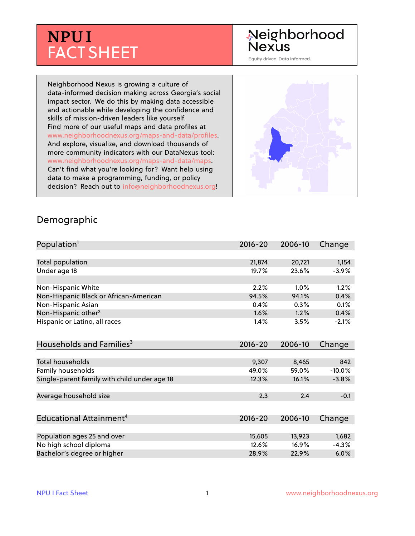# **NPU I** FACT SHEET

## Neighborhood **Nexus**

Equity driven. Data informed.

Neighborhood Nexus is growing a culture of data-informed decision making across Georgia's social impact sector. We do this by making data accessible and actionable while developing the confidence and skills of mission-driven leaders like yourself. Find more of our useful maps and data profiles at www.neighborhoodnexus.org/maps-and-data/profiles. And explore, visualize, and download thousands of more community indicators with our DataNexus tool: www.neighborhoodnexus.org/maps-and-data/maps. Can't find what you're looking for? Want help using data to make a programming, funding, or policy decision? Reach out to [info@neighborhoodnexus.org!](mailto:info@neighborhoodnexus.org)



#### Demographic

| Population <sup>1</sup>                      | $2016 - 20$ | 2006-10 | Change   |
|----------------------------------------------|-------------|---------|----------|
|                                              |             |         |          |
| Total population                             | 21,874      | 20,721  | 1,154    |
| Under age 18                                 | 19.7%       | 23.6%   | $-3.9%$  |
|                                              |             |         |          |
| Non-Hispanic White                           | 2.2%        | 1.0%    | 1.2%     |
| Non-Hispanic Black or African-American       | 94.5%       | 94.1%   | 0.4%     |
| Non-Hispanic Asian                           | 0.4%        | 0.3%    | 0.1%     |
| Non-Hispanic other <sup>2</sup>              | 1.6%        | 1.2%    | 0.4%     |
| Hispanic or Latino, all races                | 1.4%        | 3.5%    | $-2.1%$  |
| Households and Families <sup>3</sup>         | $2016 - 20$ | 2006-10 | Change   |
|                                              |             |         |          |
| <b>Total households</b>                      | 9,307       | 8,465   | 842      |
| Family households                            | 49.0%       | 59.0%   | $-10.0%$ |
| Single-parent family with child under age 18 | 12.3%       | 16.1%   | $-3.8%$  |
| Average household size                       | 2.3         | 2.4     | $-0.1$   |
|                                              |             |         |          |
| Educational Attainment <sup>4</sup>          | $2016 - 20$ | 2006-10 | Change   |
|                                              |             |         |          |
| Population ages 25 and over                  | 15,605      | 13,923  | 1,682    |
| No high school diploma                       | 12.6%       | 16.9%   | $-4.3%$  |
| Bachelor's degree or higher                  | 28.9%       | 22.9%   | 6.0%     |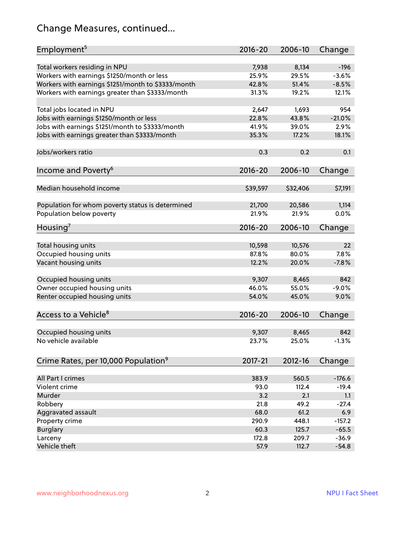## Change Measures, continued...

| Employment <sup>5</sup>                            | $2016 - 20$ | 2006-10     | Change   |
|----------------------------------------------------|-------------|-------------|----------|
|                                                    |             |             |          |
| Total workers residing in NPU                      | 7,938       | 8,134       | $-196$   |
| Workers with earnings \$1250/month or less         | 25.9%       | 29.5%       | $-3.6%$  |
| Workers with earnings \$1251/month to \$3333/month | 42.8%       | 51.4%       | $-8.5%$  |
| Workers with earnings greater than \$3333/month    | 31.3%       | 19.2%       | 12.1%    |
| Total jobs located in NPU                          | 2,647       | 1,693       | 954      |
| Jobs with earnings \$1250/month or less            | 22.8%       | 43.8%       | $-21.0%$ |
| Jobs with earnings \$1251/month to \$3333/month    | 41.9%       | 39.0%       | 2.9%     |
| Jobs with earnings greater than \$3333/month       | 35.3%       | 17.2%       | 18.1%    |
|                                                    |             |             |          |
| Jobs/workers ratio                                 | 0.3         | 0.2         | 0.1      |
| Income and Poverty <sup>6</sup>                    | $2016 - 20$ | 2006-10     | Change   |
|                                                    |             |             |          |
| Median household income                            | \$39,597    | \$32,406    | \$7,191  |
|                                                    |             |             |          |
| Population for whom poverty status is determined   | 21,700      | 20,586      | 1,114    |
| Population below poverty                           | 21.9%       | 21.9%       | 0.0%     |
|                                                    | $2016 - 20$ | 2006-10     |          |
| Housing <sup>7</sup>                               |             |             | Change   |
| Total housing units                                | 10,598      | 10,576      | 22       |
| Occupied housing units                             | 87.8%       | 80.0%       | 7.8%     |
| Vacant housing units                               | 12.2%       | 20.0%       | $-7.8%$  |
|                                                    |             |             |          |
| Occupied housing units                             | 9,307       | 8,465       | 842      |
| Owner occupied housing units                       | 46.0%       | 55.0%       | $-9.0%$  |
| Renter occupied housing units                      | 54.0%       | 45.0%       | 9.0%     |
|                                                    |             |             |          |
| Access to a Vehicle <sup>8</sup>                   | $2016 - 20$ | 2006-10     | Change   |
|                                                    |             |             |          |
| Occupied housing units                             | 9,307       | 8,465       | 842      |
| No vehicle available                               | 23.7%       | 25.0%       | $-1.3%$  |
|                                                    |             |             |          |
| Crime Rates, per 10,000 Population <sup>9</sup>    | 2017-21     | $2012 - 16$ | Change   |
|                                                    |             |             |          |
| All Part I crimes                                  | 383.9       | 560.5       | $-176.6$ |
| Violent crime                                      | 93.0        | 112.4       | $-19.4$  |
| Murder                                             | 3.2         | 2.1         | 1.1      |
| Robbery                                            | 21.8        | 49.2        | $-27.4$  |
| Aggravated assault                                 | 68.0        | 61.2        | 6.9      |
| Property crime                                     | 290.9       | 448.1       | $-157.2$ |
| <b>Burglary</b>                                    | 60.3        | 125.7       | $-65.5$  |
| Larceny                                            | 172.8       | 209.7       | $-36.9$  |
| Vehicle theft                                      | 57.9        | 112.7       | $-54.8$  |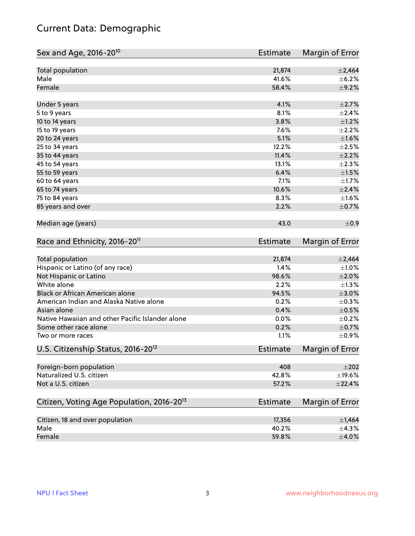## Current Data: Demographic

| Sex and Age, 2016-20 <sup>10</sup>                    | Estimate        | Margin of Error |
|-------------------------------------------------------|-----------------|-----------------|
| Total population                                      | 21,874          | $\pm 2,464$     |
| Male                                                  | 41.6%           | $\pm$ 6.2%      |
| Female                                                | 58.4%           | $\pm$ 9.2%      |
| Under 5 years                                         | 4.1%            | $\pm 2.7\%$     |
| 5 to 9 years                                          | 8.1%            | ±2.4%           |
| 10 to 14 years                                        | 3.8%            | $\pm 1.2\%$     |
| 15 to 19 years                                        | 7.6%            | $\pm 2.2\%$     |
| 20 to 24 years                                        | 5.1%            | $\pm 1.6\%$     |
| 25 to 34 years                                        | 12.2%           | $\pm 2.5\%$     |
| 35 to 44 years                                        | 11.4%           | $\pm 2.2\%$     |
| 45 to 54 years                                        | 13.1%           | $\pm 2.3\%$     |
| 55 to 59 years                                        | 6.4%            | $\pm 1.5\%$     |
| 60 to 64 years                                        | 7.1%            | $\pm 1.7\%$     |
| 65 to 74 years                                        | 10.6%           | $\pm 2.4\%$     |
| 75 to 84 years                                        | 8.3%            | $\pm1.6\%$      |
| 85 years and over                                     | 2.2%            | $\pm$ 0.7%      |
| Median age (years)                                    | 43.0            | $\pm$ 0.9       |
| Race and Ethnicity, 2016-20 <sup>11</sup>             | <b>Estimate</b> | Margin of Error |
| Total population                                      | 21,874          | $\pm 2,464$     |
| Hispanic or Latino (of any race)                      | 1.4%            | $\pm 1.0\%$     |
| Not Hispanic or Latino                                | 98.6%           | $\pm 2.0\%$     |
| White alone                                           | 2.2%            | $\pm 1.3\%$     |
| Black or African American alone                       | 94.5%           | $\pm 3.0\%$     |
| American Indian and Alaska Native alone               | 0.2%            | $\pm$ 0.3%      |
| Asian alone                                           | 0.4%            | $\pm$ 0.5%      |
| Native Hawaiian and other Pacific Islander alone      | 0.0%            | $\pm$ 0.2%      |
| Some other race alone                                 | 0.2%            | $\pm$ 0.7%      |
| Two or more races                                     | 1.1%            | $\pm$ 0.9%      |
| U.S. Citizenship Status, 2016-20 <sup>12</sup>        | <b>Estimate</b> | Margin of Error |
| Foreign-born population                               | 408             | $\pm 202$       |
| Naturalized U.S. citizen                              | 42.8%           | ±19.6%          |
| Not a U.S. citizen                                    | 57.2%           | ±22.4%          |
| Citizen, Voting Age Population, 2016-20 <sup>13</sup> | <b>Estimate</b> | Margin of Error |
| Citizen, 18 and over population                       | 17,356          | $\pm$ 1,464     |
| Male                                                  | 40.2%           | ±4.3%           |
| Female                                                | 59.8%           | $\pm 4.0\%$     |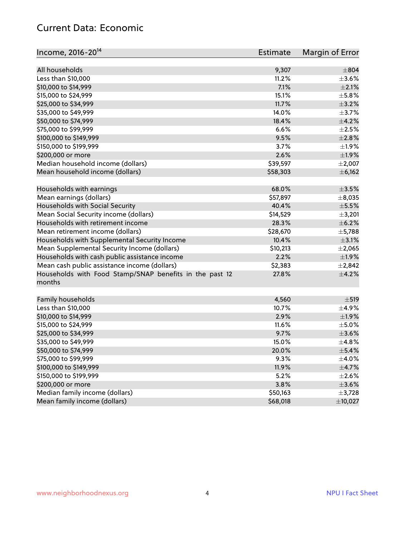#### Current Data: Economic

| All households<br>9,307                                          | $\pm$ 804   |
|------------------------------------------------------------------|-------------|
| Less than \$10,000<br>11.2%                                      | $\pm 3.6\%$ |
| 7.1%<br>\$10,000 to \$14,999                                     | $\pm 2.1\%$ |
| \$15,000 to \$24,999<br>15.1%                                    | $\pm$ 5.8%  |
| 11.7%                                                            |             |
| \$25,000 to \$34,999                                             | $\pm$ 3.2%  |
| \$35,000 to \$49,999<br>14.0%                                    | $\pm$ 3.7%  |
| \$50,000 to \$74,999<br>18.4%                                    | $\pm$ 4.2%  |
| \$75,000 to \$99,999<br>6.6%                                     | $\pm 2.5\%$ |
| \$100,000 to \$149,999<br>9.5%                                   | ±2.8%       |
| 3.7%<br>\$150,000 to \$199,999                                   | ±1.9%       |
| 2.6%<br>\$200,000 or more                                        | ±1.9%       |
| Median household income (dollars)<br>\$39,597                    | $\pm 2,007$ |
| Mean household income (dollars)<br>\$58,303                      | $\pm$ 6,162 |
| Households with earnings<br>68.0%                                | $\pm$ 3.5%  |
| Mean earnings (dollars)<br>\$57,897                              | ±8,035      |
| Households with Social Security<br>40.4%                         | $\pm$ 5.5%  |
| Mean Social Security income (dollars)<br>\$14,529                | $\pm$ 3,201 |
| Households with retirement income<br>28.3%                       | ±6.2%       |
| Mean retirement income (dollars)<br>\$28,670                     | $\pm$ 5,788 |
| Households with Supplemental Security Income<br>10.4%            | $\pm$ 3.1%  |
| Mean Supplemental Security Income (dollars)<br>\$10,213          | $\pm 2,065$ |
| Households with cash public assistance income<br>2.2%            | ±1.9%       |
| Mean cash public assistance income (dollars)<br>\$2,383          | $\pm 2,842$ |
| Households with Food Stamp/SNAP benefits in the past 12<br>27.8% | $\pm$ 4.2%  |
| months                                                           |             |
| Family households<br>4,560                                       | $\pm$ 519   |
| Less than \$10,000<br>10.7%                                      | $\pm$ 4.9%  |
| 2.9%<br>\$10,000 to \$14,999                                     | ±1.9%       |
| \$15,000 to \$24,999<br>11.6%                                    | $\pm$ 5.0%  |
| \$25,000 to \$34,999<br>9.7%                                     | $\pm 3.6\%$ |
| \$35,000 to \$49,999<br>15.0%                                    | ±4.8%       |
| \$50,000 to \$74,999<br>20.0%                                    | $\pm$ 5.4%  |
| \$75,000 to \$99,999<br>9.3%                                     | $\pm$ 4.0%  |
| \$100,000 to \$149,999<br>11.9%                                  | $\pm$ 4.7%  |
| \$150,000 to \$199,999<br>5.2%                                   | $\pm 2.6\%$ |
| 3.8%<br>\$200,000 or more                                        | $\pm 3.6\%$ |
| Median family income (dollars)<br>\$50,163                       | ±3,728      |
| Mean family income (dollars)<br>\$68,018                         | ±10,027     |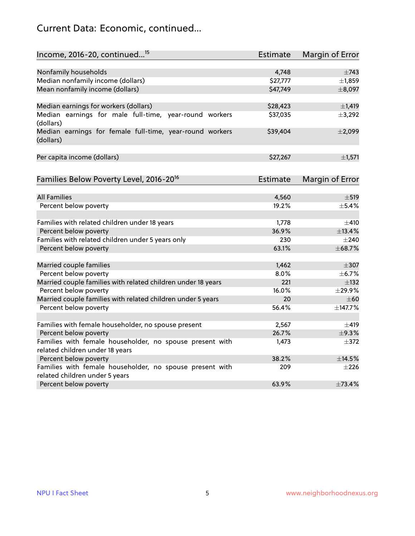## Current Data: Economic, continued...

| Income, 2016-20, continued <sup>15</sup>                              | <b>Estimate</b> | <b>Margin of Error</b> |
|-----------------------------------------------------------------------|-----------------|------------------------|
|                                                                       |                 |                        |
| Nonfamily households                                                  | 4,748           | $\pm$ 743              |
| Median nonfamily income (dollars)                                     | \$27,777        | ±1,859                 |
| Mean nonfamily income (dollars)                                       | \$47,749        | ±8,097                 |
| Median earnings for workers (dollars)                                 | \$28,423        | $\pm$ 1,419            |
| Median earnings for male full-time, year-round workers<br>(dollars)   | \$37,035        | ±3,292                 |
| Median earnings for female full-time, year-round workers<br>(dollars) | \$39,404        | ±2,099                 |
| Per capita income (dollars)                                           | \$27,267        | ±1,571                 |
| Families Below Poverty Level, 2016-20 <sup>16</sup>                   | <b>Estimate</b> | <b>Margin of Error</b> |
|                                                                       |                 |                        |
| <b>All Families</b>                                                   | 4,560           | $\pm$ 519              |
| Percent below poverty                                                 | 19.2%           | $\pm$ 5.4%             |
| Families with related children under 18 years                         | 1,778           | $\pm$ 410              |
| Percent below poverty                                                 | 36.9%           | ±13.4%                 |
| Families with related children under 5 years only                     | 230             | $\pm 240$              |
| Percent below poverty                                                 | 63.1%           | ±68.7%                 |
| Married couple families                                               | 1,462           | $\pm$ 307              |
| Percent below poverty                                                 | 8.0%            | ±6.7%                  |
| Married couple families with related children under 18 years          | 221             | $\pm$ 132              |
| Percent below poverty                                                 | 16.0%           | ±29.9%                 |
| Married couple families with related children under 5 years           | 20              | $\pm 60$               |
| Percent below poverty                                                 | 56.4%           | ±147.7%                |
| Families with female householder, no spouse present                   | 2,567           | $\pm 419$              |
| Percent below poverty                                                 | 26.7%           | ±9.3%                  |
| Families with female householder, no spouse present with              | 1,473           | $\pm$ 372              |
| related children under 18 years                                       |                 |                        |
| Percent below poverty                                                 | 38.2%           | ±14.5%                 |
| Families with female householder, no spouse present with              | 209             | $\pm 226$              |
| related children under 5 years                                        |                 |                        |
| Percent below poverty                                                 | 63.9%           | ±73.4%                 |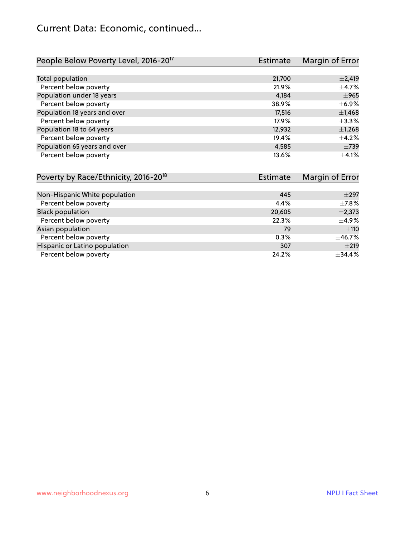#### Current Data: Economic, continued...

| People Below Poverty Level, 2016-20 <sup>17</sup> | <b>Estimate</b> | Margin of Error |
|---------------------------------------------------|-----------------|-----------------|
|                                                   |                 |                 |
| Total population                                  | 21,700          | $\pm 2,419$     |
| Percent below poverty                             | 21.9%           | $\pm$ 4.7%      |
| Population under 18 years                         | 4.184           | $\pm$ 965       |
| Percent below poverty                             | 38.9%           | $\pm$ 6.9%      |
| Population 18 years and over                      | 17,516          | $\pm$ 1,468     |
| Percent below poverty                             | 17.9%           | $\pm$ 3.3%      |
| Population 18 to 64 years                         | 12,932          | $\pm$ 1,268     |
| Percent below poverty                             | 19.4%           | $\pm$ 4.2%      |
| Population 65 years and over                      | 4,585           | $\pm 739$       |
| Percent below poverty                             | 13.6%           | $+4.1%$         |

| Poverty by Race/Ethnicity, 2016-20 <sup>18</sup> | <b>Estimate</b> | Margin of Error |
|--------------------------------------------------|-----------------|-----------------|
|                                                  |                 |                 |
| Non-Hispanic White population                    | 445             | $\pm 297$       |
| Percent below poverty                            | 4.4%            | $\pm$ 7.8%      |
| <b>Black population</b>                          | 20,605          | $\pm$ 2,373     |
| Percent below poverty                            | 22.3%           | $\pm$ 4.9%      |
| Asian population                                 | 79              | ±110            |
| Percent below poverty                            | 0.3%            | ±46.7%          |
| Hispanic or Latino population                    | 307             | ±219            |
| Percent below poverty                            | 24.2%           | ±34.4%          |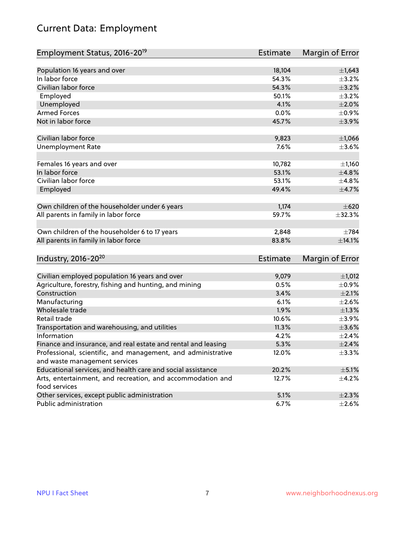## Current Data: Employment

| Employment Status, 2016-20 <sup>19</sup>                                                      | Estimate        | Margin of Error |
|-----------------------------------------------------------------------------------------------|-----------------|-----------------|
|                                                                                               |                 |                 |
| Population 16 years and over                                                                  | 18,104          | $\pm$ 1,643     |
| In labor force                                                                                | 54.3%           | $\pm$ 3.2%      |
| Civilian labor force                                                                          | 54.3%           | $\pm$ 3.2%      |
| Employed                                                                                      | 50.1%           | $\pm$ 3.2%      |
| Unemployed                                                                                    | 4.1%            | $\pm 2.0\%$     |
| <b>Armed Forces</b>                                                                           | 0.0%            | $\pm$ 0.9%      |
| Not in labor force                                                                            | 45.7%           | $\pm$ 3.9%      |
|                                                                                               |                 |                 |
| Civilian labor force                                                                          | 9,823           | $\pm$ 1,066     |
| <b>Unemployment Rate</b>                                                                      | 7.6%            | $\pm 3.6\%$     |
| Females 16 years and over                                                                     | 10,782          | ±1,160          |
| In labor force                                                                                | 53.1%           | ±4.8%           |
| Civilian labor force                                                                          | 53.1%           | ±4.8%           |
| Employed                                                                                      | 49.4%           | $\pm$ 4.7%      |
|                                                                                               |                 |                 |
| Own children of the householder under 6 years                                                 | 1,174           | $\pm 620$       |
| All parents in family in labor force                                                          | 59.7%           | $\pm$ 32.3%     |
|                                                                                               |                 |                 |
| Own children of the householder 6 to 17 years                                                 | 2,848           | $\pm 784$       |
| All parents in family in labor force                                                          | 83.8%           | $\pm$ 14.1%     |
|                                                                                               |                 |                 |
| Industry, 2016-20 <sup>20</sup>                                                               | <b>Estimate</b> | Margin of Error |
| Civilian employed population 16 years and over                                                | 9,079           | ±1,012          |
|                                                                                               | 0.5%            | $\pm$ 0.9%      |
| Agriculture, forestry, fishing and hunting, and mining<br>Construction                        | 3.4%            | $\pm 2.1\%$     |
| Manufacturing                                                                                 | 6.1%            | $\pm 2.6\%$     |
| Wholesale trade                                                                               | 1.9%            | $\pm 1.3\%$     |
| Retail trade                                                                                  | 10.6%           | $\pm$ 3.9%      |
|                                                                                               | 11.3%           |                 |
| Transportation and warehousing, and utilities<br>Information                                  |                 | $\pm 3.6\%$     |
|                                                                                               | 4.2%            | $\pm 2.4\%$     |
| Finance and insurance, and real estate and rental and leasing                                 | 5.3%            | $\pm 2.4\%$     |
| Professional, scientific, and management, and administrative<br>and waste management services | 12.0%           | $\pm$ 3.3%      |
| Educational services, and health care and social assistance                                   | 20.2%           | $\pm$ 5.1%      |
|                                                                                               |                 |                 |
| Arts, entertainment, and recreation, and accommodation and<br>food services                   | 12.7%           | $\pm$ 4.2%      |
| Other services, except public administration                                                  | 5.1%            | $\pm 2.3\%$     |
| Public administration                                                                         | 6.7%            | $\pm 2.6\%$     |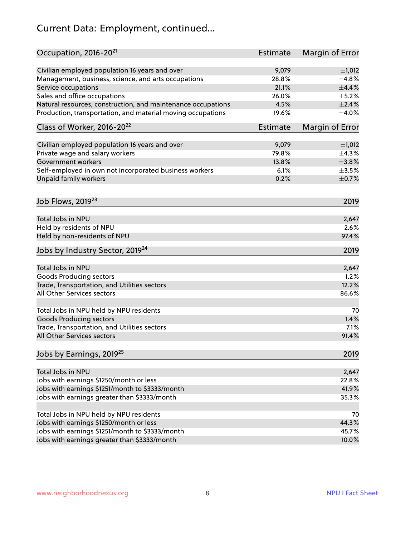## Current Data: Employment, continued...

| Occupation, 2016-20 <sup>21</sup>                            | Estimate        | Margin of Error        |
|--------------------------------------------------------------|-----------------|------------------------|
| Civilian employed population 16 years and over               | 9,079           | ±1,012                 |
| Management, business, science, and arts occupations          | 28.8%           | ±4.8%                  |
| Service occupations                                          | 21.1%           | $\pm$ 4.4%             |
| Sales and office occupations                                 | 26.0%           | $\pm$ 5.2%             |
| Natural resources, construction, and maintenance occupations | 4.5%            | $\pm 2.4\%$            |
| Production, transportation, and material moving occupations  | 19.6%           | $\pm$ 4.0%             |
| Class of Worker, 2016-20 <sup>22</sup>                       | <b>Estimate</b> | <b>Margin of Error</b> |
| Civilian employed population 16 years and over               | 9,079           | ±1,012                 |
| Private wage and salary workers                              | 79.8%           | ±4.3%                  |
| Government workers                                           | 13.8%           | ±3.8%                  |
| Self-employed in own not incorporated business workers       | 6.1%            | $\pm 3.5\%$            |
| Unpaid family workers                                        | 0.2%            | $\pm$ 0.7%             |
| Job Flows, 2019 <sup>23</sup>                                |                 | 2019                   |
| Total Jobs in NPU                                            |                 | 2,647                  |
| Held by residents of NPU                                     |                 | 2.6%                   |
| Held by non-residents of NPU                                 |                 | 97.4%                  |
| Jobs by Industry Sector, 2019 <sup>24</sup>                  |                 | 2019                   |
|                                                              |                 |                        |
| Total Jobs in NPU                                            |                 | 2,647                  |
| <b>Goods Producing sectors</b>                               |                 | 1.2%                   |
| Trade, Transportation, and Utilities sectors                 |                 | 12.2%                  |
| All Other Services sectors                                   |                 | 86.6%                  |
| Total Jobs in NPU held by NPU residents                      |                 | 70                     |
| <b>Goods Producing sectors</b>                               |                 | 1.4%                   |
| Trade, Transportation, and Utilities sectors                 |                 | 7.1%                   |
| All Other Services sectors                                   |                 | 91.4%                  |
| Jobs by Earnings, 2019 <sup>25</sup>                         |                 | 2019                   |
| Total Jobs in NPU                                            |                 | 2,647                  |
| Jobs with earnings \$1250/month or less                      |                 | 22.8%                  |
| Jobs with earnings \$1251/month to \$3333/month              |                 | 41.9%                  |
| Jobs with earnings greater than \$3333/month                 |                 | 35.3%                  |
|                                                              |                 |                        |
| Total Jobs in NPU held by NPU residents                      |                 | 70                     |
| Jobs with earnings \$1250/month or less                      |                 | 44.3%                  |
| Jobs with earnings \$1251/month to \$3333/month              |                 | 45.7%                  |
| Jobs with earnings greater than \$3333/month                 |                 | 10.0%                  |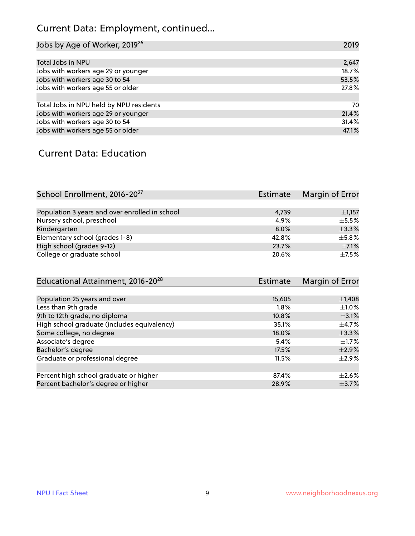## Current Data: Employment, continued...

| Jobs by Age of Worker, 2019 <sup>26</sup> | 2019  |
|-------------------------------------------|-------|
|                                           |       |
| Total Jobs in NPU                         | 2,647 |
| Jobs with workers age 29 or younger       | 18.7% |
| Jobs with workers age 30 to 54            | 53.5% |
| Jobs with workers age 55 or older         | 27.8% |
|                                           |       |
| Total Jobs in NPU held by NPU residents   | 70    |
| Jobs with workers age 29 or younger       | 21.4% |
| Jobs with workers age 30 to 54            | 31.4% |
| Jobs with workers age 55 or older         | 47.1% |

#### Current Data: Education

| School Enrollment, 2016-20 <sup>27</sup>       | Estimate | Margin of Error |
|------------------------------------------------|----------|-----------------|
|                                                |          |                 |
| Population 3 years and over enrolled in school | 4,739    | $\pm$ 1,157     |
| Nursery school, preschool                      | 4.9%     | $\pm$ 5.5%      |
| Kindergarten                                   | $8.0\%$  | $+3.3%$         |
| Elementary school (grades 1-8)                 | 42.8%    | ±5.8%           |
| High school (grades 9-12)                      | 23.7%    | $\pm$ 7.1%      |
| College or graduate school                     | 20.6%    | $+7.5%$         |

| Educational Attainment, 2016-20 <sup>28</sup> | <b>Estimate</b> | Margin of Error |
|-----------------------------------------------|-----------------|-----------------|
|                                               |                 |                 |
| Population 25 years and over                  | 15,605          | $\pm$ 1,408     |
| Less than 9th grade                           | 1.8%            | $\pm 1.0\%$     |
| 9th to 12th grade, no diploma                 | 10.8%           | $\pm$ 3.1%      |
| High school graduate (includes equivalency)   | 35.1%           | $\pm$ 4.7%      |
| Some college, no degree                       | 18.0%           | $\pm$ 3.3%      |
| Associate's degree                            | 5.4%            | $\pm$ 1.7%      |
| Bachelor's degree                             | 17.5%           | $\pm 2.9\%$     |
| Graduate or professional degree               | 11.5%           | $\pm$ 2.9%      |
|                                               |                 |                 |
| Percent high school graduate or higher        | 87.4%           | $\pm 2.6\%$     |
| Percent bachelor's degree or higher           | 28.9%           | $\pm$ 3.7%      |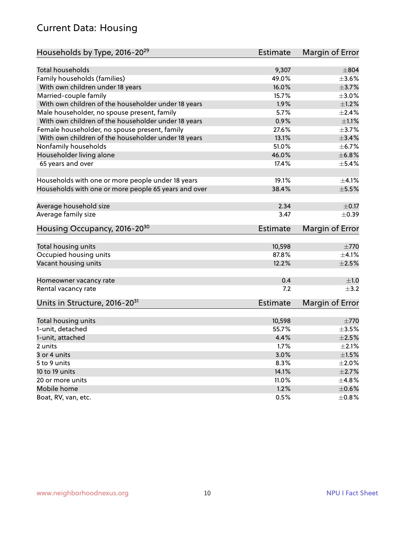#### Current Data: Housing

| Households by Type, 2016-20 <sup>29</sup>            | <b>Estimate</b> | Margin of Error |
|------------------------------------------------------|-----------------|-----------------|
|                                                      |                 |                 |
| <b>Total households</b>                              | 9,307           | $\pm$ 804       |
| Family households (families)                         | 49.0%           | $\pm 3.6\%$     |
| With own children under 18 years                     | 16.0%           | $\pm$ 3.7%      |
| Married-couple family                                | 15.7%           | $\pm 3.0\%$     |
| With own children of the householder under 18 years  | 1.9%            | $\pm 1.2\%$     |
| Male householder, no spouse present, family          | 5.7%            | $\pm 2.4\%$     |
| With own children of the householder under 18 years  | 0.9%            | $\pm 1.1\%$     |
| Female householder, no spouse present, family        | 27.6%           | $\pm$ 3.7%      |
| With own children of the householder under 18 years  | 13.1%           | $\pm$ 3.4%      |
| Nonfamily households                                 | 51.0%           | $\pm$ 6.7%      |
| Householder living alone                             | 46.0%           | ±6.8%           |
| 65 years and over                                    | 17.4%           | $\pm$ 5.4%      |
| Households with one or more people under 18 years    | 19.1%           | $\pm 4.1\%$     |
| Households with one or more people 65 years and over | 38.4%           | $\pm$ 5.5%      |
|                                                      |                 |                 |
| Average household size                               | 2.34            | $\pm$ 0.17      |
| Average family size                                  | 3.47            | $\pm$ 0.39      |
| Housing Occupancy, 2016-20 <sup>30</sup>             | Estimate        | Margin of Error |
|                                                      |                 |                 |
| Total housing units                                  | 10,598<br>87.8% | $\pm 770$       |
| Occupied housing units                               |                 | $\pm 4.1\%$     |
| Vacant housing units                                 | 12.2%           | $\pm 2.5\%$     |
| Homeowner vacancy rate                               | 0.4             | ±1.0            |
| Rental vacancy rate                                  | 7.2             | $\pm$ 3.2       |
| Units in Structure, 2016-20 <sup>31</sup>            | Estimate        | Margin of Error |
| Total housing units                                  | 10,598          | $\pm 770$       |
| 1-unit, detached                                     | 55.7%           | $\pm 3.5\%$     |
|                                                      | 4.4%            | $\pm 2.5\%$     |
| 1-unit, attached<br>2 units                          |                 |                 |
|                                                      | 1.7%            | $\pm 2.1\%$     |
| 3 or 4 units                                         | 3.0%            | $\pm 1.5\%$     |
| 5 to 9 units                                         | 8.3%            | $\pm 2.0\%$     |
| 10 to 19 units                                       | 14.1%           | $\pm 2.7\%$     |
| 20 or more units                                     | 11.0%           | $\pm$ 4.8%      |
| Mobile home                                          | 1.2%            | $\pm$ 0.6%      |
| Boat, RV, van, etc.                                  | 0.5%            | $\pm$ 0.8%      |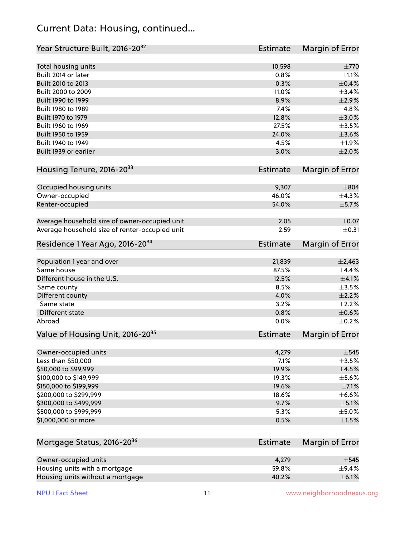#### Current Data: Housing, continued...

| Year Structure Built, 2016-20 <sup>32</sup>    | Estimate        | <b>Margin of Error</b> |
|------------------------------------------------|-----------------|------------------------|
| Total housing units                            | 10,598          | $\pm 770$              |
| Built 2014 or later                            | 0.8%            | $\pm 1.1\%$            |
| Built 2010 to 2013                             | 0.3%            | $\pm$ 0.4%             |
| Built 2000 to 2009                             | 11.0%           | ±3.4%                  |
| Built 1990 to 1999                             | 8.9%            | $\pm 2.9\%$            |
| Built 1980 to 1989                             | 7.4%            | ±4.8%                  |
| Built 1970 to 1979                             | 12.8%           | $\pm 3.0\%$            |
| Built 1960 to 1969                             | 27.5%           | $\pm$ 3.5%             |
| Built 1950 to 1959                             | 24.0%           | $\pm 3.6\%$            |
| Built 1940 to 1949                             | 4.5%            | $\pm 1.9\%$            |
| Built 1939 or earlier                          | 3.0%            | $\pm 2.0\%$            |
| Housing Tenure, 2016-2033                      | Estimate        | Margin of Error        |
| Occupied housing units                         | 9,307           | $\pm$ 804              |
| Owner-occupied                                 | 46.0%           | ±4.3%                  |
| Renter-occupied                                | 54.0%           | $\pm$ 5.7%             |
| Average household size of owner-occupied unit  | 2.05            | $\pm$ 0.07             |
| Average household size of renter-occupied unit | 2.59            | $\pm$ 0.31             |
| Residence 1 Year Ago, 2016-20 <sup>34</sup>    | <b>Estimate</b> | <b>Margin of Error</b> |
| Population 1 year and over                     | 21,839          | $\pm$ 2,463            |
| Same house                                     | 87.5%           | $\pm$ 4.4%             |
| Different house in the U.S.                    | 12.5%           | $\pm 4.1\%$            |
| Same county                                    | 8.5%            | $\pm$ 3.5%             |
| Different county                               | 4.0%            | $\pm 2.2\%$            |
| Same state                                     | 3.2%            | $\pm 2.2\%$            |
| Different state                                | 0.8%            | $\pm$ 0.6%             |
| Abroad                                         | 0.0%            | $\pm$ 0.2%             |
| Value of Housing Unit, 2016-20 <sup>35</sup>   | <b>Estimate</b> | Margin of Error        |
| Owner-occupied units                           | 4,279           | $\pm$ 545              |
| Less than \$50,000                             | 7.1%            | $\pm$ 3.5%             |
| \$50,000 to \$99,999                           | 19.9%           | $\pm$ 4.5%             |
| \$100,000 to \$149,999                         | 19.3%           | $\pm$ 5.6%             |
| \$150,000 to \$199,999                         | 19.6%           | $\pm$ 7.1%             |
| \$200,000 to \$299,999                         | 18.6%           | $\pm$ 6.6%             |
| \$300,000 to \$499,999                         | 9.7%            | $\pm$ 5.1%             |
| \$500,000 to \$999,999                         | 5.3%            | $\pm$ 5.0%             |
| \$1,000,000 or more                            | 0.5%            | $\pm 1.5\%$            |
| Mortgage Status, 2016-20 <sup>36</sup>         | Estimate        | Margin of Error        |
| Owner-occupied units                           | 4,279           | $\pm$ 545              |
| Housing units with a mortgage                  | 59.8%           | ±9.4%                  |
|                                                |                 |                        |

Housing units without a mortgage  $\pm 6.1\%$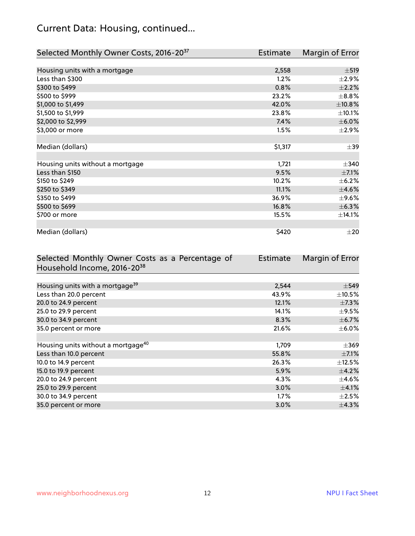## Current Data: Housing, continued...

| Selected Monthly Owner Costs, 2016-20 <sup>37</sup> | Estimate | Margin of Error |
|-----------------------------------------------------|----------|-----------------|
|                                                     |          |                 |
| Housing units with a mortgage                       | 2,558    | $\pm$ 519       |
| Less than \$300                                     | 1.2%     | $\pm 2.9\%$     |
| \$300 to \$499                                      | 0.8%     | $\pm 2.2\%$     |
| \$500 to \$999                                      | 23.2%    | $\pm$ 8.8%      |
| \$1,000 to \$1,499                                  | 42.0%    | ±10.8%          |
| \$1,500 to \$1,999                                  | 23.8%    | ±10.1%          |
| \$2,000 to \$2,999                                  | 7.4%     | $\pm$ 6.0%      |
| \$3,000 or more                                     | 1.5%     | $\pm 2.9\%$     |
|                                                     |          |                 |
| Median (dollars)                                    | \$1,317  | $\pm$ 39        |
|                                                     |          |                 |
| Housing units without a mortgage                    | 1,721    | $\pm$ 340       |
| Less than \$150                                     | 9.5%     | $\pm$ 7.1%      |
| \$150 to \$249                                      | 10.2%    | $\pm$ 6.2%      |
| \$250 to \$349                                      | 11.1%    | $\pm$ 4.6%      |
| \$350 to \$499                                      | 36.9%    | $\pm$ 9.6%      |
| \$500 to \$699                                      | 16.8%    | ±6.3%           |
| \$700 or more                                       | 15.5%    | ±14.1%          |
|                                                     |          |                 |
| Median (dollars)                                    | \$420    | $\pm 20$        |

| Selected Monthly Owner Costs as a Percentage of | <b>Estimate</b> | Margin of Error |
|-------------------------------------------------|-----------------|-----------------|
| Household Income, 2016-20 <sup>38</sup>         |                 |                 |
|                                                 |                 |                 |
| Housing units with a mortgage <sup>39</sup>     | 2,544           | $\pm$ 549       |
| Less than 20.0 percent                          | 43.9%           | $\pm$ 10.5%     |
| 20.0 to 24.9 percent                            | 12.1%           | $\pm$ 7.3%      |
| 25.0 to 29.9 percent                            | 14.1%           | $\pm$ 9.5%      |
| 30.0 to 34.9 percent                            | 8.3%            | $\pm$ 6.7%      |
| 35.0 percent or more                            | 21.6%           | $\pm$ 6.0%      |
|                                                 |                 |                 |
| Housing units without a mortgage <sup>40</sup>  | 1,709           | $\pm 369$       |
| Less than 10.0 percent                          | 55.8%           | $\pm$ 7.1%      |
| 10.0 to 14.9 percent                            | 26.3%           | $\pm$ 12.5%     |
| 15.0 to 19.9 percent                            | 5.9%            | $\pm$ 4.2%      |
| 20.0 to 24.9 percent                            | 4.3%            | $\pm$ 4.6%      |
| 25.0 to 29.9 percent                            | 3.0%            | $\pm$ 4.1%      |
| 30.0 to 34.9 percent                            | $1.7\%$         | $\pm 2.5\%$     |
| 35.0 percent or more                            | $3.0\%$         | $\pm$ 4.3%      |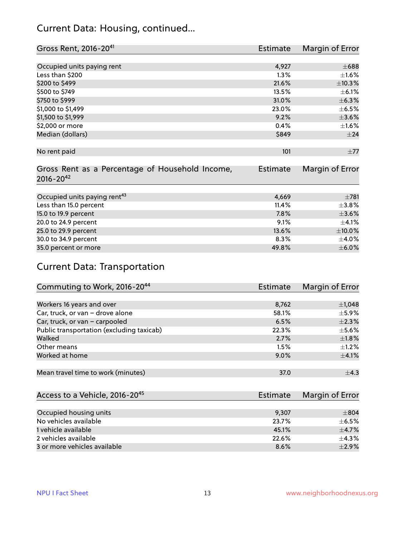#### Current Data: Housing, continued...

| Gross Rent, 2016-20 <sup>41</sup>               | <b>Estimate</b> | Margin of Error |
|-------------------------------------------------|-----------------|-----------------|
|                                                 |                 |                 |
| Occupied units paying rent                      | 4,927           | $\pm 688$       |
| Less than \$200                                 | 1.3%            | $\pm 1.6\%$     |
| \$200 to \$499                                  | 21.6%           | ±10.3%          |
| \$500 to \$749                                  | 13.5%           | $\pm$ 6.1%      |
| \$750 to \$999                                  | 31.0%           | $\pm$ 6.3%      |
| \$1,000 to \$1,499                              | 23.0%           | $\pm$ 6.5%      |
| \$1,500 to \$1,999                              | 9.2%            | $\pm 3.6\%$     |
| \$2,000 or more                                 | 0.4%            | $\pm 1.6\%$     |
| Median (dollars)                                | \$849           | ±24             |
|                                                 |                 |                 |
| No rent paid                                    | 101             | ±77             |
|                                                 |                 |                 |
| Gross Rent as a Percentage of Household Income, | <b>Estimate</b> | Margin of Error |
| $2016 - 20^{42}$                                |                 |                 |
|                                                 |                 |                 |
| Occupied units paying rent <sup>43</sup>        | 4,669           | $\pm 781$       |
| Less than 15.0 percent                          | 11.4%           | $\pm$ 3.8%      |
| 15.0 to 19.9 percent                            | 7.8%            | $\pm 3.6\%$     |
| 20.0 to 24.9 percent                            | 9.1%            | $\pm$ 4.1%      |
| 25.0 to 29.9 percent                            | 13.6%           | $\pm 10.0\%$    |
| 30.0 to 34.9 percent                            | 8.3%            | $\pm$ 4.0%      |
| 35.0 percent or more                            | 49.8%           | $\pm$ 6.0%      |

### Current Data: Transportation

| Commuting to Work, 2016-20 <sup>44</sup>  | Estimate | Margin of Error |
|-------------------------------------------|----------|-----------------|
|                                           |          |                 |
| Workers 16 years and over                 | 8,762    | $\pm$ 1,048     |
| Car, truck, or van - drove alone          | 58.1%    | ±5.9%           |
| Car, truck, or van - carpooled            | 6.5%     | $\pm 2.3\%$     |
| Public transportation (excluding taxicab) | 22.3%    | $\pm$ 5.6%      |
| Walked                                    | 2.7%     | $\pm1.8\%$      |
| Other means                               | 1.5%     | $\pm 1.2\%$     |
| Worked at home                            | 9.0%     | $\pm$ 4.1%      |
|                                           |          |                 |
| Mean travel time to work (minutes)        | 37.0     | $\pm$ 4.3       |

| Access to a Vehicle, 2016-20 <sup>45</sup> | Estimate | Margin of Error |
|--------------------------------------------|----------|-----------------|
|                                            |          |                 |
| Occupied housing units                     | 9,307    | $\pm$ 804       |
| No vehicles available                      | 23.7%    | $+6.5%$         |
| 1 vehicle available                        | 45.1%    | $\pm$ 4.7%      |
| 2 vehicles available                       | 22.6%    | $+4.3%$         |
| 3 or more vehicles available               | 8.6%     | $\pm$ 2.9%      |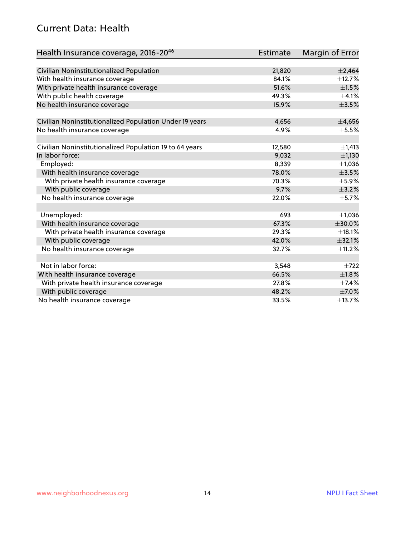#### Current Data: Health

| Health Insurance coverage, 2016-2046                    | <b>Estimate</b> | Margin of Error |
|---------------------------------------------------------|-----------------|-----------------|
|                                                         |                 |                 |
| Civilian Noninstitutionalized Population                | 21,820          | $\pm 2,464$     |
| With health insurance coverage                          | 84.1%           | ±12.7%          |
| With private health insurance coverage                  | 51.6%           | $\pm 1.5\%$     |
| With public health coverage                             | 49.3%           | $\pm$ 4.1%      |
| No health insurance coverage                            | 15.9%           | $\pm 3.5\%$     |
| Civilian Noninstitutionalized Population Under 19 years | 4,656           | ±4,656          |
| No health insurance coverage                            | 4.9%            | $\pm$ 5.5%      |
|                                                         |                 |                 |
| Civilian Noninstitutionalized Population 19 to 64 years | 12,580          | ±1,413          |
| In labor force:                                         | 9,032           | ±1,130          |
| Employed:                                               | 8,339           | ±1,036          |
| With health insurance coverage                          | 78.0%           | $\pm 3.5\%$     |
| With private health insurance coverage                  | 70.3%           | $\pm$ 5.9%      |
| With public coverage                                    | 9.7%            | $\pm$ 3.2%      |
| No health insurance coverage                            | 22.0%           | $\pm$ 5.7%      |
|                                                         |                 |                 |
| Unemployed:                                             | 693             | ±1,036          |
| With health insurance coverage                          | 67.3%           | ±30.0%          |
| With private health insurance coverage                  | 29.3%           | $\pm$ 18.1%     |
| With public coverage                                    | 42.0%           | ±32.1%          |
| No health insurance coverage                            | 32.7%           | ±11.2%          |
|                                                         |                 |                 |
| Not in labor force:                                     | 3,548           | $+722$          |
| With health insurance coverage                          | 66.5%           | $\pm1.8\%$      |
| With private health insurance coverage                  | 27.8%           | $\pm$ 7.4%      |
| With public coverage                                    | 48.2%           | $\pm$ 7.0%      |
| No health insurance coverage                            | 33.5%           | ±13.7%          |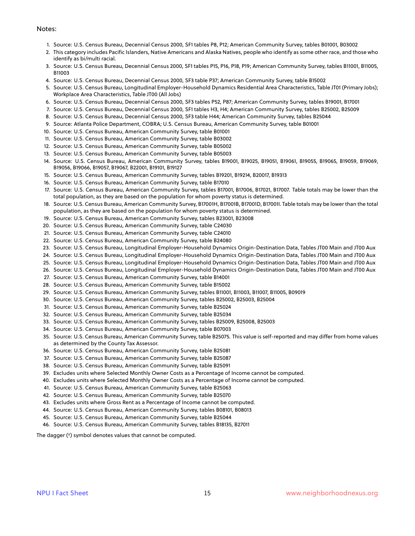#### Notes:

- 1. Source: U.S. Census Bureau, Decennial Census 2000, SF1 tables P8, P12; American Community Survey, tables B01001, B03002
- 2. This category includes Pacific Islanders, Native Americans and Alaska Natives, people who identify as some other race, and those who identify as bi/multi racial.
- 3. Source: U.S. Census Bureau, Decennial Census 2000, SF1 tables P15, P16, P18, P19; American Community Survey, tables B11001, B11005, B11003
- 4. Source: U.S. Census Bureau, Decennial Census 2000, SF3 table P37; American Community Survey, table B15002
- 5. Source: U.S. Census Bureau, Longitudinal Employer-Household Dynamics Residential Area Characteristics, Table JT01 (Primary Jobs); Workplace Area Characteristics, Table JT00 (All Jobs)
- 6. Source: U.S. Census Bureau, Decennial Census 2000, SF3 tables P52, P87; American Community Survey, tables B19001, B17001
- 7. Source: U.S. Census Bureau, Decennial Census 2000, SF1 tables H3, H4; American Community Survey, tables B25002, B25009
- 8. Source: U.S. Census Bureau, Decennial Census 2000, SF3 table H44; American Community Survey, tables B25044
- 9. Source: Atlanta Police Department, COBRA; U.S. Census Bureau, American Community Survey, table B01001
- 10. Source: U.S. Census Bureau, American Community Survey, table B01001
- 11. Source: U.S. Census Bureau, American Community Survey, table B03002
- 12. Source: U.S. Census Bureau, American Community Survey, table B05002
- 13. Source: U.S. Census Bureau, American Community Survey, table B05003
- 14. Source: U.S. Census Bureau, American Community Survey, tables B19001, B19025, B19051, B19061, B19055, B19065, B19059, B19069, B19056, B19066, B19057, B19067, B22001, B19101, B19127
- 15. Source: U.S. Census Bureau, American Community Survey, tables B19201, B19214, B20017, B19313
- 16. Source: U.S. Census Bureau, American Community Survey, table B17010
- 17. Source: U.S. Census Bureau, American Community Survey, tables B17001, B17006, B17021, B17007. Table totals may be lower than the total population, as they are based on the population for whom poverty status is determined.
- 18. Source: U.S. Census Bureau, American Community Survey, B17001H, B17001B, B17001D, B17001I. Table totals may be lower than the total population, as they are based on the population for whom poverty status is determined.
- 19. Source: U.S. Census Bureau, American Community Survey, tables B23001, B23008
- 20. Source: U.S. Census Bureau, American Community Survey, table C24030
- 21. Source: U.S. Census Bureau, American Community Survey, table C24010
- 22. Source: U.S. Census Bureau, American Community Survey, table B24080
- 23. Source: U.S. Census Bureau, Longitudinal Employer-Household Dynamics Origin-Destination Data, Tables JT00 Main and JT00 Aux
- 24. Source: U.S. Census Bureau, Longitudinal Employer-Household Dynamics Origin-Destination Data, Tables JT00 Main and JT00 Aux
- 25. Source: U.S. Census Bureau, Longitudinal Employer-Household Dynamics Origin-Destination Data, Tables JT00 Main and JT00 Aux
- 26. Source: U.S. Census Bureau, Longitudinal Employer-Household Dynamics Origin-Destination Data, Tables JT00 Main and JT00 Aux
- 27. Source: U.S. Census Bureau, American Community Survey, table B14001
- 28. Source: U.S. Census Bureau, American Community Survey, table B15002
- 29. Source: U.S. Census Bureau, American Community Survey, tables B11001, B11003, B11007, B11005, B09019
- 30. Source: U.S. Census Bureau, American Community Survey, tables B25002, B25003, B25004
- 31. Source: U.S. Census Bureau, American Community Survey, table B25024
- 32. Source: U.S. Census Bureau, American Community Survey, table B25034
- 33. Source: U.S. Census Bureau, American Community Survey, tables B25009, B25008, B25003
- 34. Source: U.S. Census Bureau, American Community Survey, table B07003
- 35. Source: U.S. Census Bureau, American Community Survey, table B25075. This value is self-reported and may differ from home values as determined by the County Tax Assessor.
- 36. Source: U.S. Census Bureau, American Community Survey, table B25081
- 37. Source: U.S. Census Bureau, American Community Survey, table B25087
- 38. Source: U.S. Census Bureau, American Community Survey, table B25091
- 39. Excludes units where Selected Monthly Owner Costs as a Percentage of Income cannot be computed.
- 40. Excludes units where Selected Monthly Owner Costs as a Percentage of Income cannot be computed.
- 41. Source: U.S. Census Bureau, American Community Survey, table B25063
- 42. Source: U.S. Census Bureau, American Community Survey, table B25070
- 43. Excludes units where Gross Rent as a Percentage of Income cannot be computed.
- 44. Source: U.S. Census Bureau, American Community Survey, tables B08101, B08013
- 45. Source: U.S. Census Bureau, American Community Survey, table B25044
- 46. Source: U.S. Census Bureau, American Community Survey, tables B18135, B27011

The dagger (†) symbol denotes values that cannot be computed.